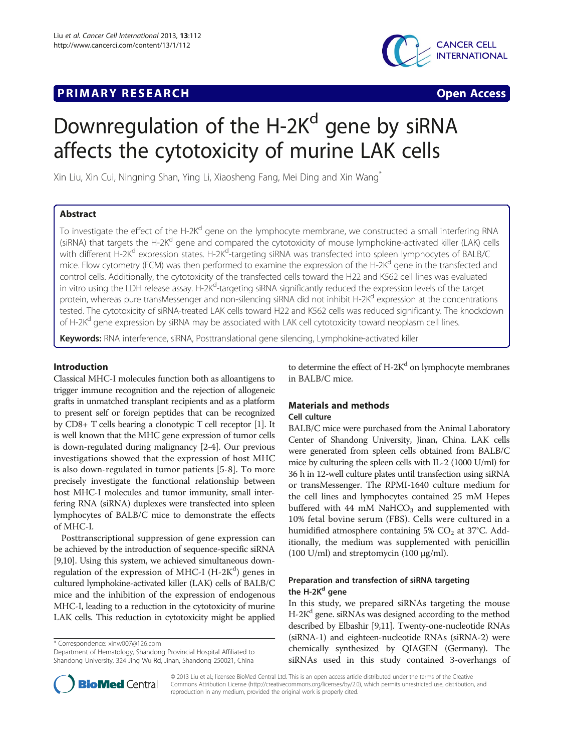# **PRIMARY RESEARCH CONSUMING ACCESS**



# Downregulation of the H-2K<sup>d</sup> gene by siRNA affects the cytotoxicity of murine LAK cells

Xin Liu, Xin Cui, Ningning Shan, Ying Li, Xiaosheng Fang, Mei Ding and Xin Wang\*

## Abstract

To investigate the effect of the H-2K<sup>d</sup> gene on the lymphocyte membrane, we constructed a small interfering RNA (siRNA) that targets the H-2K<sup>d</sup> gene and compared the cytotoxicity of mouse lymphokine-activated killer (LAK) cells with different H-2K<sup>d</sup> expression states. H-2K<sup>d</sup>-targeting siRNA was transfected into spleen lymphocytes of BALB/C mice. Flow cytometry (FCM) was then performed to examine the expression of the H-2K<sup>d</sup> gene in the transfected and control cells. Additionally, the cytotoxicity of the transfected cells toward the H22 and K562 cell lines was evaluated in vitro using the LDH release assay. H-2K<sup>d</sup>-targeting siRNA significantly reduced the expression levels of the target protein, whereas pure transMessenger and non-silencing siRNA did not inhibit H-2K<sup>d</sup> expression at the concentrations tested. The cytotoxicity of siRNA-treated LAK cells toward H22 and K562 cells was reduced significantly. The knockdown of H-2K<sup>d</sup> gene expression by siRNA may be associated with LAK cell cytotoxicity toward neoplasm cell lines.

Keywords: RNA interference, siRNA, Posttranslational gene silencing, Lymphokine-activated killer

## Introduction

Classical MHC-I molecules function both as alloantigens to trigger immune recognition and the rejection of allogeneic grafts in unmatched transplant recipients and as a platform to present self or foreign peptides that can be recognized by CD8+ T cells bearing a clonotypic T cell receptor [\[1](#page-3-0)]. It is well known that the MHC gene expression of tumor cells is down-regulated during malignancy [[2-4\]](#page-3-0). Our previous investigations showed that the expression of host MHC is also down-regulated in tumor patients [\[5](#page-3-0)-[8\]](#page-3-0). To more precisely investigate the functional relationship between host MHC-I molecules and tumor immunity, small interfering RNA (siRNA) duplexes were transfected into spleen lymphocytes of BALB/C mice to demonstrate the effects of MHC-I.

Posttranscriptional suppression of gene expression can be achieved by the introduction of sequence-specific siRNA [[9,10](#page-3-0)]. Using this system, we achieved simultaneous downregulation of the expression of MHC-I (H-2K<sup>d</sup>) genes in cultured lymphokine-activated killer (LAK) cells of BALB/C mice and the inhibition of the expression of endogenous MHC-I, leading to a reduction in the cytotoxicity of murine LAK cells. This reduction in cytotoxicity might be applied

\* Correspondence: [xinw007@126.com](mailto:xinw007@126.com)

Department of Hematology, Shandong Provincial Hospital Affiliated to Shandong University, 324 Jing Wu Rd, Jinan, Shandong 250021, China

to determine the effect of  $H-2K^d$  on lymphocyte membranes in BALB/C mice.

## Materials and methods

## Cell culture

BALB/C mice were purchased from the Animal Laboratory Center of Shandong University, Jinan, China. LAK cells were generated from spleen cells obtained from BALB/C mice by culturing the spleen cells with IL-2 (1000 U/ml) for 36 h in 12-well culture plates until transfection using siRNA or transMessenger. The RPMI-1640 culture medium for the cell lines and lymphocytes contained 25 mM Hepes buffered with 44 mM NaHCO<sub>3</sub> and supplemented with 10% fetal bovine serum (FBS). Cells were cultured in a humidified atmosphere containing  $5\%$  CO<sub>2</sub> at 37 $\degree$ C. Additionally, the medium was supplemented with penicillin (100 U/ml) and streptomycin (100 μg/ml).

## Preparation and transfection of siRNA targeting the H-2K<sup>d</sup> gene

In this study, we prepared siRNAs targeting the mouse  $H-2K<sup>d</sup>$  gene. siRNAs was designed according to the method described by Elbashir [\[9,11\]](#page-3-0). Twenty-one-nucleotide RNAs (siRNA-1) and eighteen-nucleotide RNAs (siRNA-2) were chemically synthesized by QIAGEN (Germany). The siRNAs used in this study contained 3-overhangs of



© 2013 Liu et al.; licensee BioMed Central Ltd. This is an open access article distributed under the terms of the Creative Commons Attribution License [\(http://creativecommons.org/licenses/by/2.0\)](http://creativecommons.org/licenses/by/2.0), which permits unrestricted use, distribution, and reproduction in any medium, provided the original work is properly cited.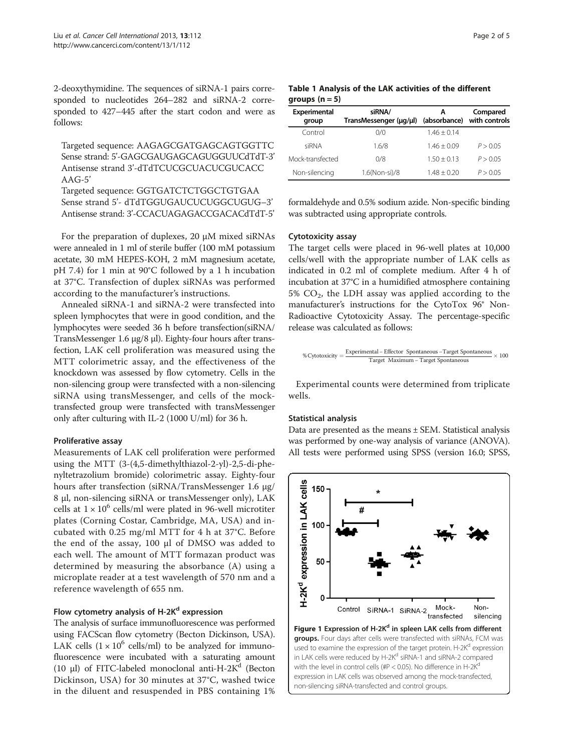<span id="page-1-0"></span>2-deoxythymidine. The sequences of siRNA-1 pairs corresponded to nucleotides 264–282 and siRNA-2 corresponded to 427–445 after the start codon and were as follows:

Targeted sequence: AAGAGCGATGAGCAGTGGTTC Sense strand: 5'-GAGCGAUGAGCAGUGGUUCdTdT-3' Antisense strand 3'-dTdTCUCGCUACUCGUCACC  $AAG-5'$ 

Targeted sequence: GGTGATCTCTGGCTGTGAA Sense strand 5'- dTdTGGUGAUCUCUGGCUGUG–3' Antisense strand: 3'-CCACUAGAGACCGACACdTdT-5'

For the preparation of duplexes, 20 μM mixed siRNAs were annealed in 1 ml of sterile buffer (100 mM potassium acetate, 30 mM HEPES-KOH, 2 mM magnesium acetate, pH 7.4) for 1 min at 90°C followed by a 1 h incubation at 37°C. Transfection of duplex siRNAs was performed according to the manufacturer's instructions.

Annealed siRNA-1 and siRNA-2 were transfected into spleen lymphocytes that were in good condition, and the lymphocytes were seeded 36 h before transfection(siRNA/ TransMessenger 1.6 μg/8 μl). Eighty-four hours after transfection, LAK cell proliferation was measured using the MTT colorimetric assay, and the effectiveness of the knockdown was assessed by flow cytometry. Cells in the non-silencing group were transfected with a non-silencing siRNA using transMessenger, and cells of the mocktransfected group were transfected with transMessenger only after culturing with IL-2 (1000 U/ml) for 36 h.

## Proliferative assay

Measurements of LAK cell proliferation were performed using the MTT (3-(4,5-dimethylthiazol-2-yl)-2,5-di-phenyltetrazolium bromide) colorimetric assay. Eighty-four hours after transfection (siRNA/TransMessenger 1.6 μg/ 8 μl, non-silencing siRNA or transMessenger only), LAK cells at  $1 \times 10^6$  cells/ml were plated in 96-well microtiter plates (Corning Costar, Cambridge, MA, USA) and incubated with 0.25 mg/ml MTT for 4 h at 37°C. Before the end of the assay, 100 μl of DMSO was added to each well. The amount of MTT formazan product was determined by measuring the absorbance (A) using a microplate reader at a test wavelength of 570 nm and a reference wavelength of 655 nm.

## Flow cytometry analysis of  $H-2K^d$  expression

The analysis of surface immunofluorescence was performed using FACScan flow cytometry (Becton Dickinson, USA). LAK cells  $(1 \times 10^6 \text{ cells/ml})$  to be analyzed for immunofluorescence were incubated with a saturating amount (10 μl) of FITC-labeled monoclonal anti-H-2 $K^a$  (Becton Dickinson, USA) for 30 minutes at 37°C, washed twice in the diluent and resuspended in PBS containing 1%

|                  |  | Table 1 Analysis of the LAK activities of the different |  |  |
|------------------|--|---------------------------------------------------------|--|--|
| groups $(n = 5)$ |  |                                                         |  |  |

| Experimental<br>group | siRNA/<br>TransMessenger (µg/µl) | A<br>(absorbance) | Compared<br>with controls |
|-----------------------|----------------------------------|-------------------|---------------------------|
| Control               | 0/0                              | $1.46 + 0.14$     |                           |
| siRNA                 | 1.6/8                            | $1.46 + 0.09$     | P > 0.05                  |
| Mock-transfected      | 0/8                              | $1.50 + 0.13$     | P > 0.05                  |
| Non-silencing         | 1.6(Non-si)/8                    | $148 + 020$       | P > 0.05                  |

formaldehyde and 0.5% sodium azide. Non-specific binding was subtracted using appropriate controls.

## Cytotoxicity assay

The target cells were placed in 96-well plates at 10,000 cells/well with the appropriate number of LAK cells as indicated in 0.2 ml of complete medium. After 4 h of incubation at 37°C in a humidified atmosphere containing  $5\%$  CO<sub>2</sub>, the LDH assay was applied according to the manufacturer's instructions for the CytoTox 96® Non-Radioactive Cytotoxicity Assay. The percentage-specific release was calculated as follows:

$$
\% Cytotoxicity = \frac{Experimental - Effector\ Spontaneous -Target Spontaneous}{Target\ Maximum - Target Spontaneous} \times 100
$$

Experimental counts were determined from triplicate wells.

### Statistical analysis

Data are presented as the means ± SEM. Statistical analysis was performed by one-way analysis of variance (ANOVA). All tests were performed using SPSS (version 16.0; SPSS,

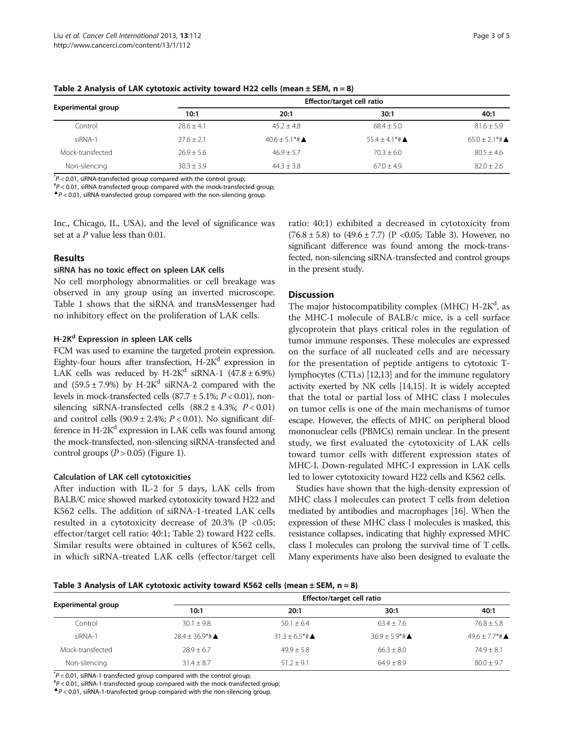|                    | Effector/target cell ratio |                             |                             |                                         |  |  |
|--------------------|----------------------------|-----------------------------|-----------------------------|-----------------------------------------|--|--|
| Experimental group | 10:1                       | 20:1                        | 30:1                        | 40:1                                    |  |  |
| Control            | $78.6 + 4.1$               | $45.2 + 4.8$                | $68.4 + 5.0$                | $81.6 + 5.9$                            |  |  |
| siRNA-1            | $27.6 + 2.1$               | $40.6 + 5.1*$ # $\triangle$ | $55.4 + 4.1*$ # $\triangle$ | $65.0 + 2.1$ <sup>*</sup> # $\triangle$ |  |  |
| Mock-transfected   | $26.9 + 5.6$               | $46.9 + 5.7$                | $70.3 + 6.0$                | $80.5 + 4.6$                            |  |  |
| Non-silencing      | $30.3 + 3.9$               | $44.3 + 3.8$                | $67.0 + 4.9$                | $82.0 + 2.6$                            |  |  |

Table 2 Analysis of LAK cytotoxic activity toward H22 cells (mean  $\pm$  SEM, n = 8)

 $p^* \geq 0.01$ , siRNA-transfected group compared with the control group;<br> $p^* \geq 0.01$ , siRNA-transfected group compared with the mock-transfect

 $P < 0.01$ , siRNA-transfected group compared with the mock-transfected group;  $\blacktriangle$   $P < 0.01$ , siRNA-transfected group compared with the non-silencing group.

Inc., Chicago, IL, USA), and the level of significance was set at a P value less than 0.01.

## Results

## siRNA has no toxic effect on spleen LAK cells

No cell morphology abnormalities or cell breakage was observed in any group using an inverted microscope. Table [1](#page-1-0) shows that the siRNA and transMessenger had no inhibitory effect on the proliferation of LAK cells.

## H-2K<sup>d</sup> Expression in spleen LAK cells

FCM was used to examine the targeted protein expression. Eighty-four hours after transfection,  $H-2K^d$  expression in LAK cells was reduced by H-2K<sup>d</sup> siRNA-1 (47.8  $\pm$  6.9%) and  $(59.5 \pm 7.9%)$  by H-2K<sup>d</sup> siRNA-2 compared with the levels in mock-transfected cells  $(87.7 \pm 5.1\%; P < 0.01)$ , nonsilencing siRNA-transfected cells  $(88.2 \pm 4.3\%)$ ;  $P < 0.01$ ) and control cells  $(90.9 \pm 2.4\%; P < 0.01)$ . No significant difference in  $H-2K^d$  expression in LAK cells was found among the mock-transfected, non-silencing siRNA-transfected and control groups  $(P > 0.05)$  (Figure [1](#page-1-0)).

## Calculation of LAK cell cytotoxicities

After induction with IL-2 for 5 days, LAK cells from BALB/C mice showed marked cytotoxicity toward H22 and K562 cells. The addition of siRNA-1-treated LAK cells resulted in a cytotoxicity decrease of  $20.3\%$  (P <0.05; effector/target cell ratio: 40:1; Table 2) toward H22 cells. Similar results were obtained in cultures of K562 cells, in which siRNA-treated LAK cells (effector/target cell

ratio: 40:1) exhibited a decreased in cytotoxicity from  $(76.8 \pm 5.8)$  to  $(49.6 \pm 7.7)$  (P < 0.05; Table 3). However, no significant difference was found among the mock-transfected, non-silencing siRNA-transfected and control groups in the present study.

## **Discussion**

The major histocompatibility complex (MHC) H-2K<sup>d</sup>, as the MHC-I molecule of BALB/c mice, is a cell surface glycoprotein that plays critical roles in the regulation of tumor immune responses. These molecules are expressed on the surface of all nucleated cells and are necessary for the presentation of peptide antigens to cytotoxic Tlymphocytes (CTLs) [\[12,](#page-3-0)[13](#page-4-0)] and for the immune regulatory activity exerted by NK cells [[14,15\]](#page-4-0). It is widely accepted that the total or partial loss of MHC class I molecules on tumor cells is one of the main mechanisms of tumor escape. However, the effects of MHC on peripheral blood mononuclear cells (PBMCs) remain unclear. In the present study, we first evaluated the cytotoxicity of LAK cells toward tumor cells with different expression states of MHC-I. Down-regulated MHC-I expression in LAK cells led to lower cytotoxicity toward H22 cells and K562 cells.

Studies have shown that the high-density expression of MHC class I molecules can protect T cells from deletion mediated by antibodies and macrophages [\[16](#page-4-0)]. When the expression of these MHC class I molecules is masked, this resistance collapses, indicating that highly expressed MHC class I molecules can prolong the survival time of T cells. Many experiments have also been designed to evaluate the

### Table 3 Analysis of LAK cytotoxic activity toward K562 cells (mean  $\pm$  SEM, n = 8)

|                           | Effector/target cell ratio               |                    |                     |                                         |  |  |
|---------------------------|------------------------------------------|--------------------|---------------------|-----------------------------------------|--|--|
| <b>Experimental group</b> | 10:1                                     | 20:1               | 30:1                | 40:1                                    |  |  |
| Control                   | $30.1 + 9.8$                             | $50.1 + 6.4$       | $63.4 + 7.6$        | $76.8 + 5.8$                            |  |  |
| siRNA-1                   | $78.4 + 36.9$ <sup>*</sup> # $\triangle$ | $31.3 + 6.5* \# 4$ | $36.9 + 5.9* \pm 4$ | $49.6 + 7.7$ <sup>*</sup> # $\triangle$ |  |  |
| Mock-transfected          | $78.9 + 6.7$                             | $49.9 + 5.8$       | $66.3 + 8.0$        | $74.9 + 8.1$                            |  |  |
| Non-silencing             | $31.4 + 8.7$                             | $51.2 + 9.1$       | $64.9 + 8.9$        | $80.0 + 9.7$                            |  |  |

 $p^* \ge 0.01$ , siRNA-1-transfected group compared with the control group;<br> $p^* \ge 0.01$ , siPNA-1 transfected group compared with the mock transfect

 $P < 0.01$ , siRNA-1-transfected group compared with the mock-transfected group;<br>  $\bigtriangleup P < 0.01$ , siRNA-1-transfected group compared with the non-silencing group.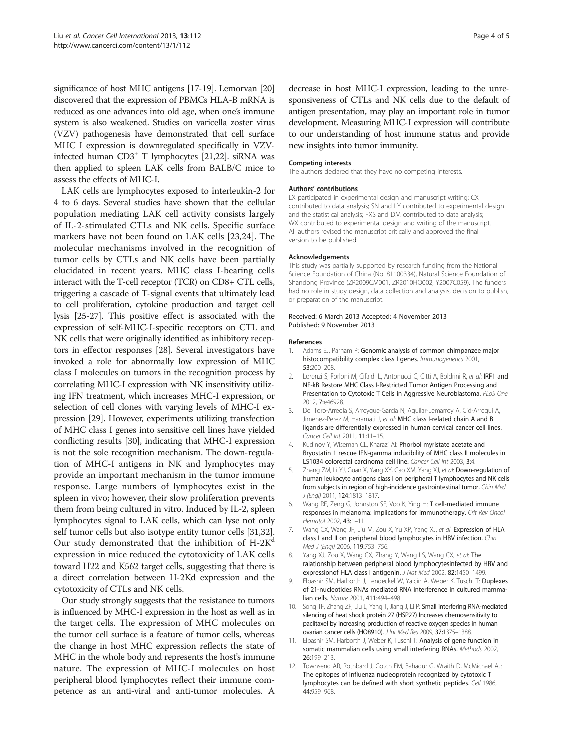<span id="page-3-0"></span>significance of host MHC antigens [\[17](#page-4-0)-[19](#page-4-0)]. Lemorvan [\[20](#page-4-0)] discovered that the expression of PBMCs HLA-B mRNA is reduced as one advances into old age, when one's immune system is also weakened. Studies on varicella zoster virus (VZV) pathogenesis have demonstrated that cell surface MHC I expression is downregulated specifically in VZV-infected human CD3<sup>+</sup> T lymphocytes [\[21,22](#page-4-0)]. siRNA was then applied to spleen LAK cells from BALB/C mice to assess the effects of MHC-I.

LAK cells are lymphocytes exposed to interleukin-2 for 4 to 6 days. Several studies have shown that the cellular population mediating LAK cell activity consists largely of IL-2-stimulated CTLs and NK cells. Specific surface markers have not been found on LAK cells [\[23](#page-4-0),[24\]](#page-4-0). The molecular mechanisms involved in the recognition of tumor cells by CTLs and NK cells have been partially elucidated in recent years. MHC class I-bearing cells interact with the T-cell receptor (TCR) on CD8+ CTL cells, triggering a cascade of T-signal events that ultimately lead to cell proliferation, cytokine production and target cell lysis [\[25-27](#page-4-0)]. This positive effect is associated with the expression of self-MHC-I-specific receptors on CTL and NK cells that were originally identified as inhibitory receptors in effector responses [\[28](#page-4-0)]. Several investigators have invoked a role for abnormally low expression of MHC class I molecules on tumors in the recognition process by correlating MHC-I expression with NK insensitivity utilizing IFN treatment, which increases MHC-I expression, or selection of cell clones with varying levels of MHC-I expression [\[29\]](#page-4-0). However, experiments utilizing transfection of MHC class I genes into sensitive cell lines have yielded conflicting results [[30\]](#page-4-0), indicating that MHC-I expression is not the sole recognition mechanism. The down-regulation of MHC-I antigens in NK and lymphocytes may provide an important mechanism in the tumor immune response. Large numbers of lymphocytes exist in the spleen in vivo; however, their slow proliferation prevents them from being cultured in vitro. Induced by IL-2, spleen lymphocytes signal to LAK cells, which can lyse not only self tumor cells but also isotype entity tumor cells [\[31,32](#page-4-0)]. Our study demonstrated that the inhibition of  $H-2K<sup>d</sup>$ expression in mice reduced the cytotoxicity of LAK cells toward H22 and K562 target cells, suggesting that there is a direct correlation between H-2Kd expression and the cytotoxicity of CTLs and NK cells.

Our study strongly suggests that the resistance to tumors is influenced by MHC-I expression in the host as well as in the target cells. The expression of MHC molecules on the tumor cell surface is a feature of tumor cells, whereas the change in host MHC expression reflects the state of MHC in the whole body and represents the host's immune nature. The expression of MHC-I molecules on host peripheral blood lymphocytes reflect their immune competence as an anti-viral and anti-tumor molecules. A

decrease in host MHC-I expression, leading to the unresponsiveness of CTLs and NK cells due to the default of antigen presentation, may play an important role in tumor development. Measuring MHC-I expression will contribute to our understanding of host immune status and provide new insights into tumor immunity.

#### Competing interests

The authors declared that they have no competing interests.

#### Authors' contributions

LX participated in experimental design and manuscript writing; CX contributed to data analysis; SN and LY contributed to experimental design and the statistical analysis; FXS and DM contributed to data analysis; WX contributed to experimental design and writing of the manuscript. All authors revised the manuscript critically and approved the final version to be published.

#### Acknowledgements

This study was partially supported by research funding from the National Science Foundation of China (No. 81100334), Natural Science Foundation of Shandong Province (ZR2009CM001, ZR2010HQ002, Y2007C059). The funders had no role in study design, data collection and analysis, decision to publish, or preparation of the manuscript.

#### Received: 6 March 2013 Accepted: 4 November 2013 Published: 9 November 2013

#### References

- 1. Adams EJ, Parham P: Genomic analysis of common chimpanzee major histocompatibility complex class I genes. Immunogenetics 2001, 53:200–208.
- 2. Lorenzi S, Forloni M, Cifaldi L, Antonucci C, Citti A, Boldrini R, et al: IRF1 and NF-kB Restore MHC Class I-Restricted Tumor Antigen Processing and Presentation to Cytotoxic T Cells in Aggressive Neuroblastoma. PLoS One 2012, 7:e46928.
- 3. Del Toro-Arreola S, Arreygue-Garcia N, Aguilar-Lemarroy A, Cid-Arregui A, Jimenez-Perez M, Haramati J, et al: MHC class I-related chain A and B ligands are differentially expressed in human cervical cancer cell lines. Cancer Cell Int 2011, 11:11–15.
- 4. Kudinov Y, Wiseman CL, Kharazi AI: Phorbol myristate acetate and Bryostatin 1 rescue IFN-gamma inducibility of MHC class II molecules in LS1034 colorectal carcinoma cell line. Cancer Cell Int 2003, 3:4.
- 5. Zhang ZM, Li YJ, Guan X, Yang XY, Gao XM, Yang XJ, et al: Down-regulation of human leukocyte antigens class I on peripheral T lymphocytes and NK cells from subjects in region of high-incidence gastrointestinal tumor. Chin Med J (Engl) 2011, 124:1813–1817.
- 6. Wang RF, Zeng G, Johnston SF, Voo K, Ying H: T cell-mediated immune responses in melanoma: implications for immunotherapy. Crit Rev Oncol Hematol 2002, 43:1–11.
- 7. Wang CX, Wang JF, Liu M, Zou X, Yu XP, Yang XJ, et al: Expression of HLA class I and II on peripheral blood lymphocytes in HBV infection. Chin Med J (Engl) 2006, 119:753–756.
- Yang XJ, Zou X, Wang CX, Zhang Y, Wang LS, Wang CX, et al: The ralationship between peripheral blood lymphocytesinfected by HBV and expressionof HLA class I antigenin. J Nat Med 2002, 82:1450–1499.
- 9. Elbashir SM, Harborth J, Lendeckel W, Yalcin A, Weber K, Tuschl T: Duplexes of 21-nucleotides RNAs mediated RNA interference in cultured mammalian cells. Nature 2001, 411:494–498.
- 10. Song TF, Zhang ZF, Liu L, Yang T, Jiang J, Li P: Small interfering RNA-mediated silencing of heat shock protein 27 (HSP27) Increases chemosensitivity to paclitaxel by increasing production of reactive oxygen species in human ovarian cancer cells (HO8910). J Int Med Res 2009, 37:1375–1388.
- 11. Elbashir SM, Harborth J, Weber K, Tuschl T: Analysis of gene function in somatic mammalian cells using small interfering RNAs. Methods 2002, 26:199–213.
- 12. Townsend AR, Rothbard J, Gotch FM, Bahadur G, Wraith D, McMichael AJ: The epitopes of influenza nucleoprotein recognized by cytotoxic T lymphocytes can be defined with short synthetic peptides. Cell 1986, 44:959–968.